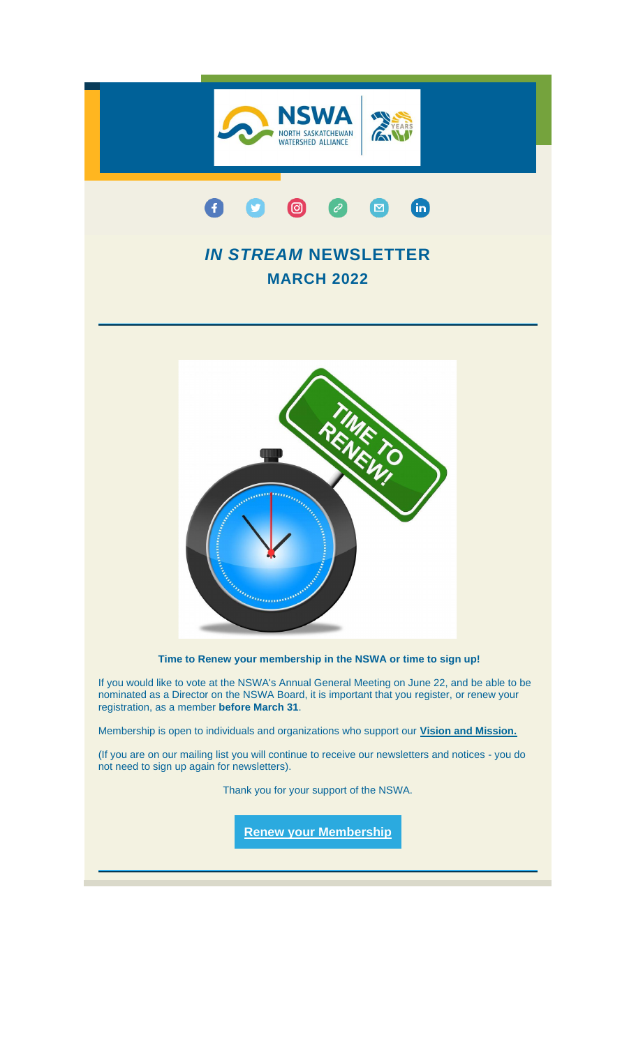

(If you are on our mailing list you will continue to receive our newsletters and notices - you do not need to sign up again for newsletters).

Thank you for your support of the NSWA.

**[Renew your Membership](https://nswa.us14.list-manage.com/track/click?u=7440db212d60f2e49343dcf70&id=3c52d789bf&e=c102eeb5ac)**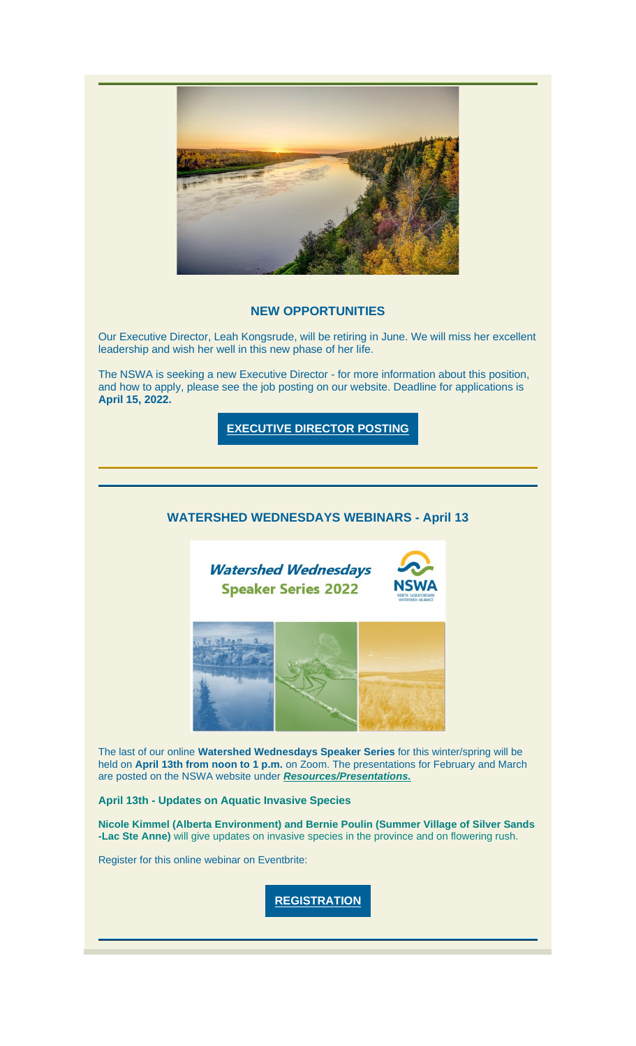

### **NEW OPPORTUNITIES**

Our Executive Director, Leah Kongsrude, will be retiring in June. We will miss her excellent leadership and wish her well in this new phase of her life.

The NSWA is seeking a new Executive Director - for more information about this position, and how to apply, please see the job posting on our website. Deadline for applications is **April 15, 2022.**

**[EXECUTIVE DIRECTOR POSTING](https://nswa.us14.list-manage.com/track/click?u=7440db212d60f2e49343dcf70&id=bf70a39569&e=c102eeb5ac)**

# **WATERSHED WEDNESDAYS WEBINARS - April 13**



The last of our online **Watershed Wednesdays Speaker Series** for this winter/spring will be held on **April 13th from noon to 1 p.m.** on Zoom. The presentations for February and March are posted on the NSWA website under *[Resources/Presentations.](https://nswa.us14.list-manage.com/track/click?u=7440db212d60f2e49343dcf70&id=06e35aea06&e=c102eeb5ac)*

### **April 13th - Updates on Aquatic Invasive Species**

**Nicole Kimmel (Alberta Environment) and Bernie Poulin (Summer Village of Silver Sands -Lac Ste Anne)** will give updates on invasive species in the province and on flowering rush.

Register for this online webinar on Eventbrite:

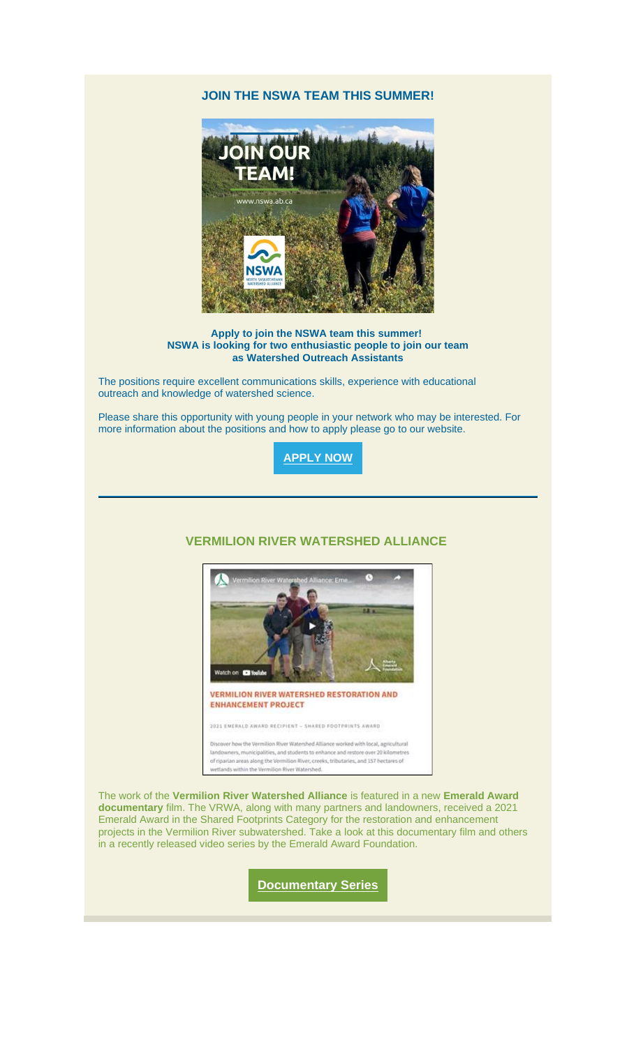## **JOIN THE NSWA TEAM THIS SUMMER!**



**Apply to join the NSWA team this summer! NSWA is looking for two enthusiastic people to join our team as Watershed Outreach Assistants**

The positions require excellent communications skills, experience with educational outreach and knowledge of watershed science.

Please share this opportunity with young people in your network who may be interested. For more information about the positions and how to apply please go to our website.

**[APPLY NOW](https://nswa.us14.list-manage.com/track/click?u=7440db212d60f2e49343dcf70&id=eea0ccabb2&e=c102eeb5ac)**

## **VERMILION RIVER WATERSHED ALLIANCE**



2021 EMERALD AWARD RECIPIENT - SHARED FOOTPRINTS AWARD

Discover how the Vermilion River Watershed Alliance worked with local, agricultural landowners, municipalities, and students to enhance and restore over 20 kilometres<br>of riparian areas along the Vermilion River, creeks, tributaries, and 157 hectares of wetlands within the Vermilion River Watershed.

The work of the **Vermilion River Watershed Alliance** is featured in a new **Emerald Award documentary** film. The VRWA, along with many partners and landowners, received a 2021 Emerald Award in the Shared Footprints Category for the restoration and enhancement projects in the Vermilion River subwatershed. Take a look at this documentary film and others in a recently released video series by the Emerald Award Foundation.

**[Documentary Series](https://nswa.us14.list-manage.com/track/click?u=7440db212d60f2e49343dcf70&id=1f3e5d2ccf&e=c102eeb5ac)**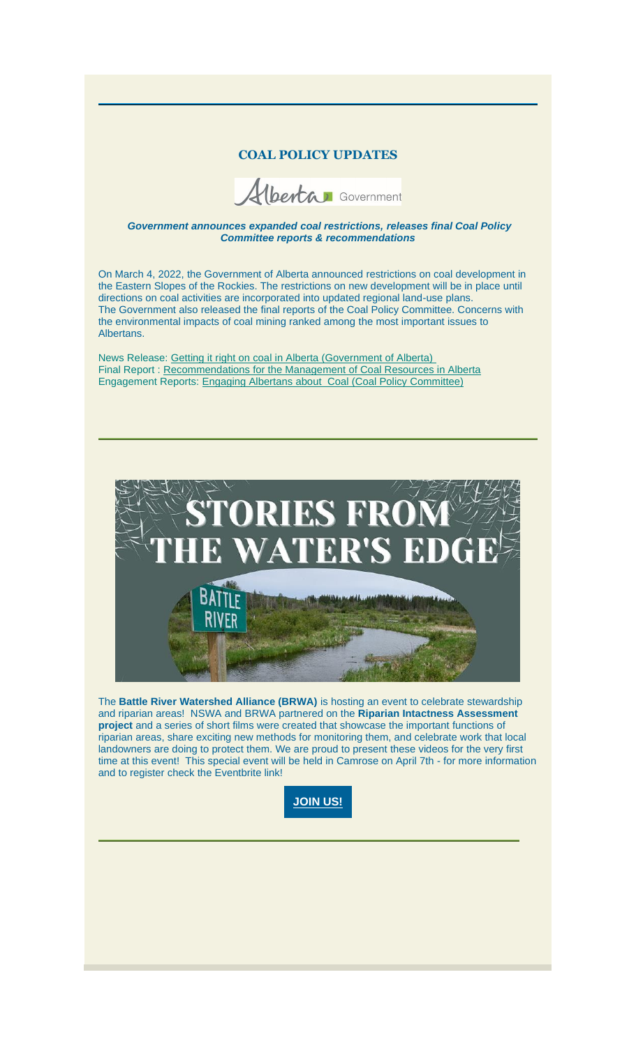### **COAL POLICY UPDATES**

Herta Government

*Government announces expanded coal restrictions, releases final Coal Policy Committee reports & recommendations*

On March 4, 2022, the Government of Alberta announced restrictions on coal development in the Eastern Slopes of the Rockies. The restrictions on new development will be in place until directions on coal activities are incorporated into updated regional land-use plans. The Government also released the final reports of the Coal Policy Committee. Concerns with the environmental impacts of coal mining ranked among the most important issues to Albertans.

News Release: [Getting it right on coal in Alberta \(Government of Alberta\)](https://nswa.us14.list-manage.com/track/click?u=7440db212d60f2e49343dcf70&id=1f40937848&e=c102eeb5ac) Final Report : [Recommendations for the Management of Coal Resources in Alberta](https://nswa.us14.list-manage.com/track/click?u=7440db212d60f2e49343dcf70&id=f7ebd4a47a&e=c102eeb5ac) Engagement Reports: [Engaging Albertans about](https://nswa.us14.list-manage.com/track/click?u=7440db212d60f2e49343dcf70&id=87700fccdd&e=c102eeb5ac) Coal (Coal Policy Committee)



The **Battle River Watershed Alliance (BRWA)** is hosting an event to celebrate stewardship and riparian areas! NSWA and BRWA partnered on the **Riparian Intactness Assessment project** and a series of short films were created that showcase the important functions of riparian areas, share exciting new methods for monitoring them, and celebrate work that local landowners are doing to protect them. We are proud to present these videos for the very first time at this event! This special event will be held in Camrose on April 7th - for more information and to register check the Eventbrite link!

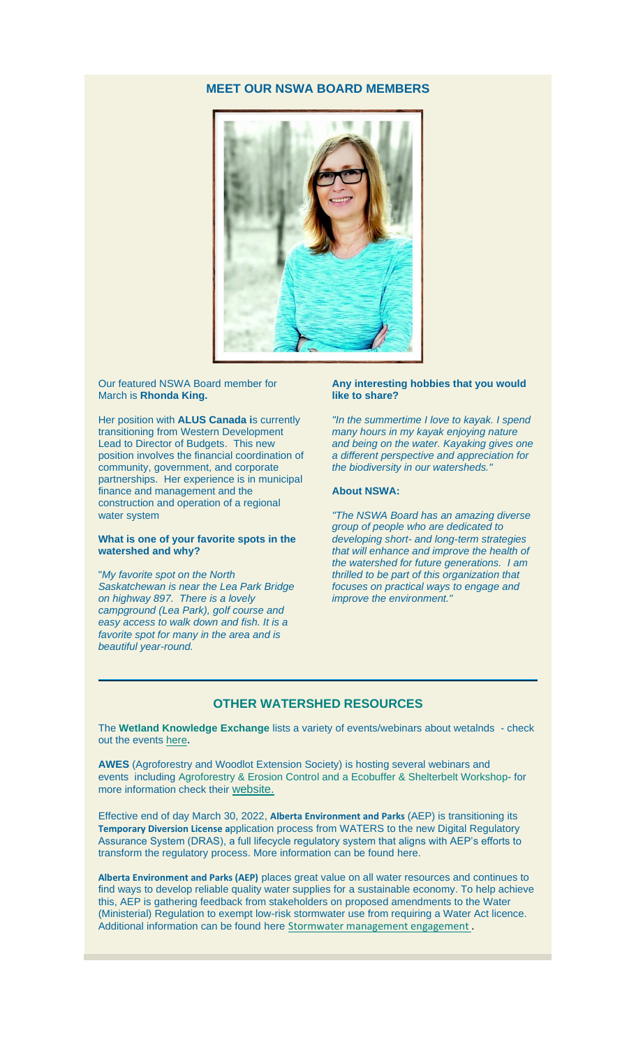## **MEET OUR NSWA BOARD MEMBERS**



#### Our featured NSWA Board member for March is **Rhonda King.**

Her position with **ALUS Canada i**s currently transitioning from Western Development Lead to Director of Budgets. This new position involves the financial coordination of community, government, and corporate partnerships. Her experience is in municipal finance and management and the construction and operation of a regional water system

#### **What is one of your favorite spots in the watershed and why?**

"*My favorite spot on the North Saskatchewan is near the Lea Park Bridge on highway 897. There is a lovely campground (Lea Park), golf course and easy access to walk down and fish. It is a favorite spot for many in the area and is beautiful year-round.*

#### **Any interesting hobbies that you would like to share?**

*"In the summertime I love to kayak. I spend many hours in my kayak enjoying nature and being on the water. Kayaking gives one a different perspective and appreciation for the biodiversity in our watersheds."*

#### **About NSWA:**

*"The NSWA Board has an amazing diverse group of people who are dedicated to developing short- and long-term strategies that will enhance and improve the health of the watershed for future generations. I am thrilled to be part of this organization that focuses on practical ways to engage and improve the environment."*

### **OTHER WATERSHED RESOURCES**

The **Wetland Knowledge Exchange** lists a variety of events/webinars about wetalnds - check out the events [here](https://nswa.us14.list-manage.com/track/click?u=7440db212d60f2e49343dcf70&id=11b1d70396&e=c102eeb5ac)**.**

**AWES** (Agroforestry and Woodlot Extension Society) is hosting several webinars and events including Agroforestry & Erosion Control and a Ecobuffer & Shelterbelt Workshop- for more information check their [website.](https://nswa.us14.list-manage.com/track/click?u=7440db212d60f2e49343dcf70&id=d24bc424a9&e=c102eeb5ac)

Effective end of day March 30, 2022, **Alberta Environment and Parks** (AEP) is transitioning its **Temporary Diversion License a**pplication process from WATERS to the new Digital Regulatory Assurance System (DRAS), a full lifecycle regulatory system that aligns with AEP's efforts to transform the regulatory process. More information can be found [here.](https://nswa.us14.list-manage.com/track/click?u=7440db212d60f2e49343dcf70&id=f1a5964bdb&e=c102eeb5ac)

**Alberta Environment and Parks (AEP)** places great value on all water resources and continues to find ways to develop reliable quality water supplies for a sustainable economy. To help achieve this, AEP is gathering feedback from stakeholders on proposed amendments to the Water (Ministerial) Regulation to exempt low-risk stormwater use from requiring a Water Act licence. Additional information can be found here [Stormwater management engagement](https://nswa.us14.list-manage.com/track/click?u=7440db212d60f2e49343dcf70&id=f006fedb9e&e=c102eeb5ac).